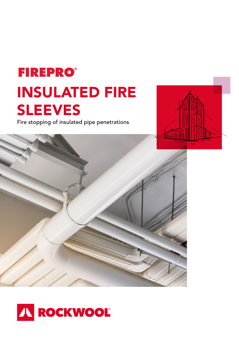# **FIREPRO®** INSULATED FIRE SLEEVES

Fire stopping of insulated pipe penetrations





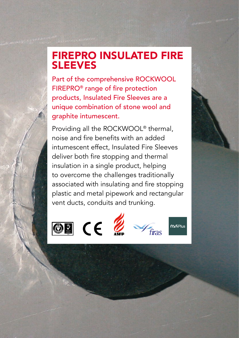## FIREPRO INSULATED FIRE SLEEVES

Part of the comprehensive ROCKWOOL FIREPRO® range of fire protection products, Insulated Fire Sleeves are a unique combination of stone wool and graphite intumescent.

Providing all the ROCKWOOL® thermal, noise and fire benefits with an added intumescent effect, Insulated Fire Sleeves deliver both fire stopping and thermal insulation in a single product, helping to overcome the challenges traditionally associated with insulating and fire stopping plastic and metal pipework and rectangular vent ducts, conduits and trunking.







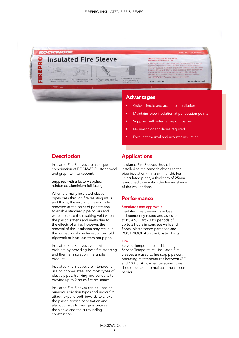

## Advantages

- Quick, simple and accurate installation
- Maintains pipe insulation at penetration points
- Supplied with integral vapour barrier
- No mastic or ancillaries required
- Excellent thermal and acoustic insulation

## **Description**

Insulated Fire Sleeves are a unique combination of ROCKWOOL stone wool and graphite intumescent.

Supplied with a factory applied reinforced aluminium foil facing.

When thermally insulated plastic pipes pass through fire resisting walls and floors, the insulation is normally removed at the point of penetration to enable standard pipe collars and wraps to close the resulting void when the plastic softens and melts due to the effects of a fire. However, the removal of this insulation may result in the formation of condensation on cold pipework or heat loss from hot pipes.

Insulated Fire Sleeves avoid this problem by providing both fire stopping and thermal insulation in a single product.

Insulated Fire Sleeves are intended for use on copper, steel and most types of plastic pipes, trunking and conduits to provide up to 2 hours fire resistance.

Insulated Fire Sleeves can be used on numerous division types and under fire attack, expand both inwards to choke the plastic service penetration and also outwards to seal gaps between the sleeve and the surrounding construction.

## Applications

Insulated Fire Sleeves should be installed to the same thickness as the pipe insulation (min 25mm thick). For uninsulated pipes, a thickness of 25mm is required to maintain the fire resistance of the wall or floor.

## **Performance**

#### Standards and approvals

Insulated Fire Sleeves have been independently tested and assessed to BS 476: Part 20 for periods of up to 2 hours in concrete walls and floors, plasterboard partitions and ROCKWOOL Ablative Coated Batts.

#### Fire

Service Temperature and Limiting Service Temperature - Insulated Fire Sleeves are used to fire stop pipework operating at temperatures between 0°C and 180°C. At low temperatures, care should be taken to maintain the vapour **barrier**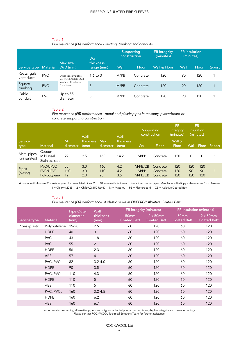#### Table 1

|  | Fire resistance (FR) performance - ducting, trunking and conduits |  |  |
|--|-------------------------------------------------------------------|--|--|
|  |                                                                   |  |  |
|  |                                                                   |  |  |
|  |                                                                   |  |  |

|                           |                 |                                                                                    | Supporting<br>construction      |      | FR integrity<br>(minutes) | <b>FR</b> insulation<br>(minutes) |      |       |        |
|---------------------------|-----------------|------------------------------------------------------------------------------------|---------------------------------|------|---------------------------|-----------------------------------|------|-------|--------|
| Service type              | <b>Material</b> | Max size<br>$W/D$ (mm)                                                             | Wall<br>thickness<br>range (mm) | Wall | Floor                     | Wall & Floor                      | Wall | Floor | Report |
| Rectangular<br>vent ducts | <b>PVC</b>      | Other sizes available -<br>see ROCKWOOL Oval<br>Insulated Firesleeve<br>Data Sheet | 1.6 to $3$                      | M/PB | Concrete                  | 120                               | 90   | 120   |        |
| Square<br>trunking        | <b>PVC</b>      |                                                                                    | 3                               | M/PB | Concrete                  | 120                               | 90   | 120   |        |
| Cable<br>conduit          | <b>PVC</b>      | Up to 55<br>diameter                                                               | 3                               | M/PB | Concrete                  | 120                               | 90   | 120   |        |

#### Table 2

*Fire resistance (FR) performance - metal and plastic pipes in masonry, plasterboard or concrete supporting construction*

|                              |                                                    |                 | Wall              |                        | Wall              | Supporting<br>construction |                                  | <b>FR</b><br>integrity<br>(minutes) | <b>FR</b><br>insulation<br>(minutes) |                  |        |
|------------------------------|----------------------------------------------------|-----------------|-------------------|------------------------|-------------------|----------------------------|----------------------------------|-------------------------------------|--------------------------------------|------------------|--------|
| Service<br>type              | <b>Material</b>                                    | Min<br>diameter | thickness<br>(mm) | <b>Max</b><br>diameter | thickness<br>(mm) | Wall                       | Floor                            | Wall &<br>Floor                     | Wall                                 | Floor            | Report |
| Metal pipes<br>(uninsulated) | Copper<br>Mild steel<br>Stainless steel            | 22              | 2.5               | 165                    | 14.2              | M/PB                       | Concrete                         | 120                                 | 0                                    | 0                |        |
| Pipes<br>(plastic)           | <b>PVC/UPVC</b><br><b>PVC/UPVC</b><br>Polybutylene | 55<br>160<br>12 | 3.0<br>3.0<br>2.0 | 160<br>110<br>28       | 4.2<br>4.2<br>3.5 | M/PB/CB<br>M/PB<br>M/PB/CB | Concrete<br>Concrete<br>Concrete | 120<br>120<br>120                   | 120<br>90<br>120                     | 120<br>90<br>120 |        |

A minimum thickness of 25mm is required for uninsulated pipes. 25 to 100mm available to match insulation on other pipes. Manufactured to fit pipe diameters of 15 to 169mm 1 = Chilt/A12265 - 2 = Chilt/A08152 Rev D - M = Masonry - PB = Plasterboard - CB = Ablative Coated Batt

#### Table 3

*Fire resistance (FR) performance of plastic pipes in FIREPRO® Ablative Coated Batt*

|                 |                 | Pipe Outer       | Wall              | FR integrity (minutes)                 |                                        | FR insulation (minutes)                |                                        |  |
|-----------------|-----------------|------------------|-------------------|----------------------------------------|----------------------------------------|----------------------------------------|----------------------------------------|--|
| Service type    | <b>Material</b> | diameter<br>(mm) | thickness<br>(mm) | 50 <sub>mm</sub><br><b>Coated Batt</b> | $2 \times 50$ mm<br><b>Coated Batt</b> | 50 <sub>mm</sub><br><b>Coated Batt</b> | $2 \times 50$ mm<br><b>Coated Batt</b> |  |
| Pipes (plastic) | Polybutylene    | 15-28            | 2.5               | 60                                     | 120                                    | 60                                     | 120                                    |  |
|                 | <b>HDPE</b>     | 40               | 3                 | 60                                     | 120                                    | 60                                     | 120                                    |  |
|                 | PVCu            | 43               | 1.8               | 60                                     | 120                                    | 60                                     | 120                                    |  |
|                 | <b>PVC</b>      | 55               | 2                 | 60                                     | 120                                    | 60                                     | 120                                    |  |
|                 | <b>HDPE</b>     | 56               | 2.3               | 60                                     | 120                                    | 60                                     | 120                                    |  |
|                 | ABS             | 57               | $\overline{4}$    | 60                                     | 120                                    | 60                                     | 120                                    |  |
|                 | PVC, PVCu       | 82               | $3.2 - 4.0$       | 60                                     | 120                                    | 60                                     | 120                                    |  |
|                 | <b>HDPE</b>     | 90               | 3.5               | 60                                     | 120                                    | 60                                     | 120                                    |  |
|                 | PVC, PVCu       | 110              | 4.3               | 60                                     | 120                                    | 60                                     | 120                                    |  |
|                 | <b>HDPE</b>     | 110              | 5                 | 60                                     | 120                                    | 60                                     | 120                                    |  |
|                 | ABS             | 110              | 5                 | 60                                     | 120                                    | 60                                     | 120                                    |  |
|                 | PVC, PVCu       | 160              | $3.2 - 4.5$       | 60                                     | 120                                    | 60                                     | 120                                    |  |
|                 | <b>HDPE</b>     | 160              | 6.2               | 60                                     | 120                                    | 60                                     | 120                                    |  |
|                 | ABS             | 160              | 6.7               | 60                                     | 120                                    | 60                                     | 120                                    |  |

For information regarding alternative pipe sizes or types, or for help regarding achieving higher integrity and insulation ratings. Please contact ROCKWOOL Technical Solutions Team for further assistance.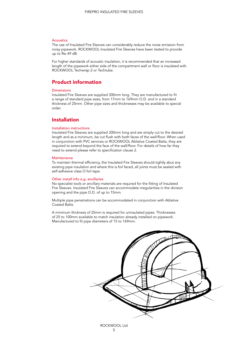#### **Acoustics**

The use of Insulated Fire Sleeves can considerably reduce the noise emission from noisy pipework. ROCKWOOL Insulated Fire Sleeves have been tested to provide up to Rw 49 dB.

For higher standards of acoustic insulation, it is recommended that an increased length of the pipework either side of the compartment wall or floor is insulated with ROCKWOOL Techwrap 2 or Techtube.

## Product information

#### Dimensions

Insulated Fire Sleeves are supplied 300mm long. They are manufactured to fit a range of standard pipe sizes, from 17mm to 169mm O.D. and in a standard thickness of 25mm. Other pipe sizes and thicknesses may be available to special order.

## **Installation**

#### Installation instructions

Insulated Fire Sleeves are supplied 300mm long and are simply cut to the desired length and as a minimum, be cut flush with both faces of the wall/floor. When used in conjunction with PVC services or ROCKWOOL Ablative Coated Batts, they are required to extend beyond the face of the wall/floor. For details of how far they need to extend please refer to specification clause 2.

#### **Maintenance**

To maintain thermal efficiency, the Insulated Fire Sleeves should tightly abut any existing pipe insulation and where this is foil faced, all joints must be sealed with self-adhesive class O foil tape.

#### Other install info e.g. ancillaries

No specialist tools or ancillary materials are required for the fitting of Insulated Fire Sleeves. Insulated Fire Sleeves can accommodate irregularities in the division opening and the pipe O.D. of up to 15mm.

Multiple pipe penetrations can be accommodated in conjunction with Ablative Coated Batts.

A minimum thickness of 25mm is required for uninsulated pipes. Thicknesses of 25 to 100mm available to match insulation already installed on pipework. Manufactured to fit pipe diameters of 15 to 169mm.

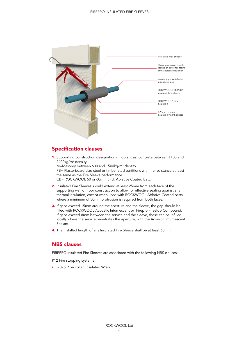

## Specification clauses

1. Supporting construction designation:- Floors: Cast concrete between 1100 and 2400kg/m<sup>3</sup> density. M=Masonry between 600 and 1500kg/m<sup>3</sup> density.

PB= Plasterboard clad steel or timber stud partitions with fire resistance at least the same as the Fire Sleeve performance.

CB= ROCKWOOL 50 or 60mm thick Ablative Coated Batt.

- 2. Insulated Fire Sleeves should extend at least 25mm from each face of the supporting wall or floor construction to allow for effective sealing against any thermal insulation, except when used with ROCKWOOL Ablative Coated batts where a minimum of 50mm protrusion is required from both faces.
- 3. If gaps exceed 15mm around the aperture and the sleeve, the gap should be filled with ROCKWOOL Acoustic Intumescent or Firepro Firestop Compound. If gaps exceed 8mm between the service and the sleeve, these can be infilled, locally where the service penetrates the aperture, with the Acoustic Intumescent Sealant.
- 4. The installed length of any Insulated Fire Sleeve shall be at least 60mm.

## NBS clauses

FIREPRO Insulated Fire Sleeves are associated with the following NBS clauses:

P12 Fire stopping systems

• - 375 Pipe collar: Insulated Wrap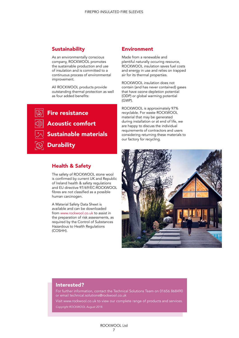## **Sustainability**

As an environmentally conscious company, ROCKWOOL promotes the sustainable production and use of insulation and is committed to a continuous process of environmental improvement.

All ROCKWOOL products provide outstanding thermal protection as well as four added benefits:

Fire resistance Acoustic comfort Sustainable materials **Durability** 

## Health & Safety

The safety of ROCKWOOL stone wool is confirmed by current UK and Republic of Ireland health & safety regulations and EU directive 97/69/EC:ROCKWOOL fibres are not classified as a possible human carcinogen.

A Material Safety Data Sheet is available and can be downloaded from www.rockwool.co.uk to assist in the preparation of risk assessments, as required by the Control of Substances Hazardous to Health Regulations (COSHH).

## **Environment**

Made from a renewable and plentiful naturally occuring resource, ROCKWOOL insulation saves fuel costs and energy in use and relies on trapped air for its thermal properties.

ROCKWOOL insulation does not contain (and has never contained) gases that have ozone depletion potential (ODP) or global warming potential (GWP).

ROCKWOOL is approximately 97% recyclable. For waste ROCKWOOL material that may be generated during installation or at end of life, we are happy to discuss the individual requirements of contractors and users considering returning these materials to our factory for recycling.



### Interested?

For further information, contact the Technical Solutions Team on 01656 868490 or email technical.solutions@rockwool.co.uk

Visit www.rockwool.co.uk to view our complete range of products and services. *Copyright ROCKWOOL August 2018.*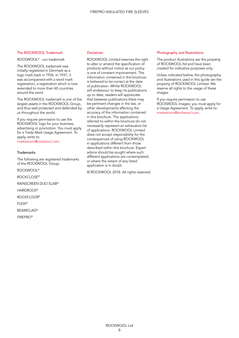#### The ROCKWOOL Trademark

ROCKWOOL® - our trademark

The ROCKWOOL trademark was initially registered in Denmark as a logo mark back in 1936. In 1937, it was accompanied with a word mark registration; a registration which is now extended to more than 60 countries around the word.

The ROCKWOOL trademark is one of the largest assets in the ROCKWOOL Group, and thus well protected and defended by us throughout the world.

If you require permission to use the ROCKWOOL logo for your business, advertising or promotion. You must apply for a Trade Mark Usage Agreement. To apply, write to:

marketcom@rockwool.com.

#### **Trademarks**

The following are registered trademarks of the ROCKWOOL Group:

ROCKWOOL®

ROCKCLOSE®

RAINSCREEN DUO SLAB®

**HARDROCK®** 

ROCKFLOOR®

FLEXI®

BEAMCLAD®

FIREPRO®

#### Disclaimer

ROCKWOOL Limited reserves the right to alter or amend the specification of products without notice as our policy is one of constant improvement. The information contained in this brochure is believed to be correct at the date of publication. Whilst ROCKWOOL will endeavour to keep its publications up to date, readers will appreciate that between publications there may be pertinent changes in the law, or other developments affecting the accuracy of the information contained in this brochure. The applications referred to within the brochure do not necessarily represent an exhaustive list of applications. ROCKWOOL Limited does not accept responsibility for the consequences of using ROCKWOOL in applications different from those described within this brochure. Expert advice should be sought where such different applications are contemplated, or where the extent of any listed application is in doubt.

© ROCKWOOL 2018. All rights reserved.

#### Photography and Illustrations

The product illustrations are the property of ROCKWOOL ltd and have been created for indicative purposes only.

Unless indicated below, the photography and illustrations used in this guide are the property of ROCKWOOL Limited. We reserve all rights to the usage of these images.

If you require permission to use ROCKWOOL images, you must apply for a Usage Agreement. To apply, write to: marketcom@rockwool.com.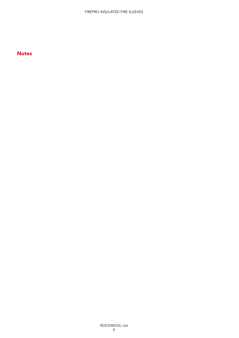## **Notes**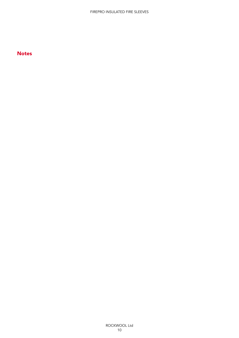## **Notes**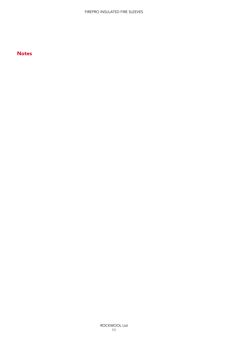## **Notes**